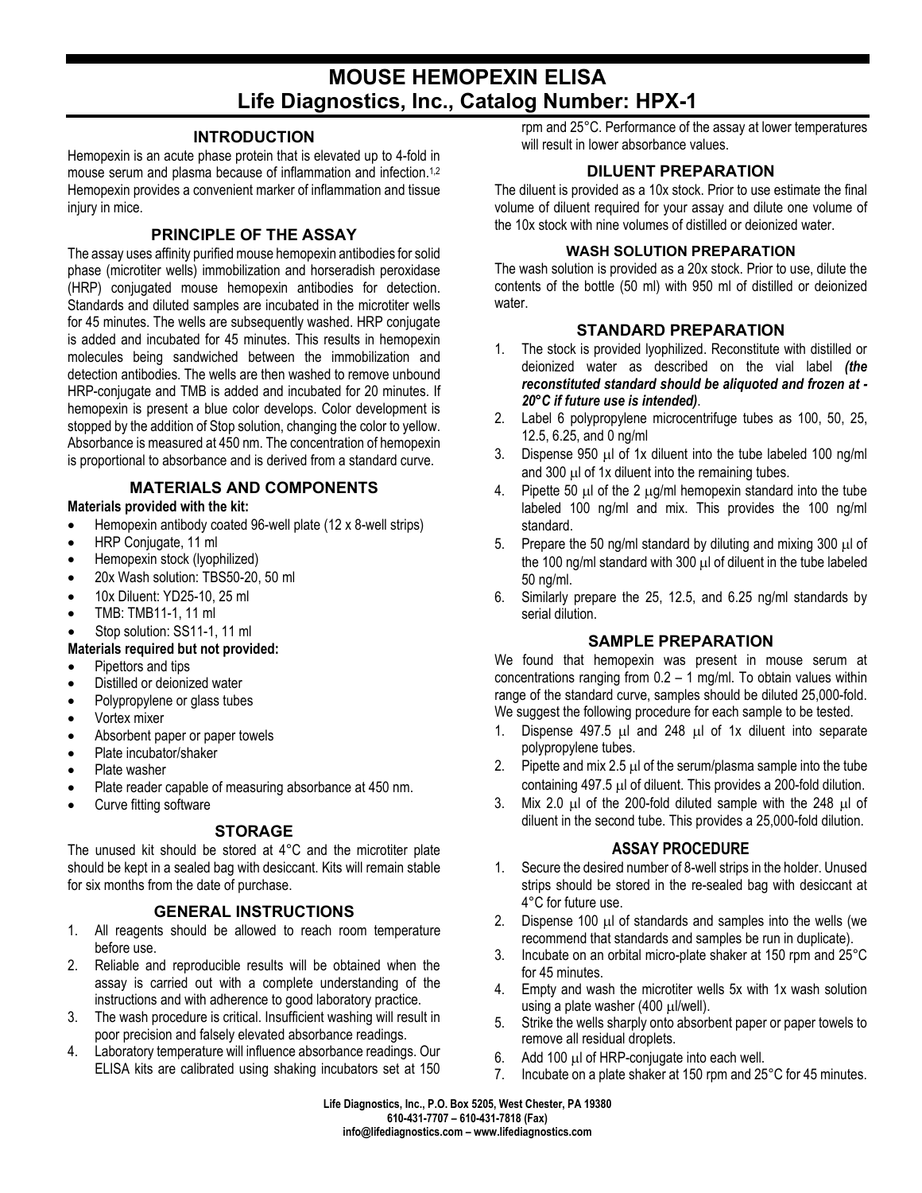# **MOUSE HEMOPEXIN ELISA Life Diagnostics, Inc., Catalog Number: HPX-1**

#### **INTRODUCTION**

Hemopexin is an acute phase protein that is elevated up to 4-fold in mouse serum and plasma because of inflammation and infection.1,2 Hemopexin provides a convenient marker of inflammation and tissue injury in mice.

#### **PRINCIPLE OF THE ASSAY**

The assay uses affinity purified mouse hemopexin antibodies for solid phase (microtiter wells) immobilization and horseradish peroxidase (HRP) conjugated mouse hemopexin antibodies for detection. Standards and diluted samples are incubated in the microtiter wells for 45 minutes. The wells are subsequently washed. HRP conjugate is added and incubated for 45 minutes. This results in hemopexin molecules being sandwiched between the immobilization and detection antibodies. The wells are then washed to remove unbound HRP-conjugate and TMB is added and incubated for 20 minutes. If hemopexin is present a blue color develops. Color development is stopped by the addition of Stop solution, changing the color to yellow. Absorbance is measured at 450 nm. The concentration of hemopexin is proportional to absorbance and is derived from a standard curve.

## **MATERIALS AND COMPONENTS**

#### **Materials provided with the kit:**

- Hemopexin antibody coated 96-well plate (12 x 8-well strips)
- HRP Conjugate, 11 ml
- Hemopexin stock (lyophilized)
- 20x Wash solution: TBS50-20, 50 ml
- 10x Diluent: YD25-10, 25 ml
- TMB: TMB11-1, 11 ml
- Stop solution: SS11-1, 11 ml

#### **Materials required but not provided:**

- Pipettors and tips
- Distilled or deionized water
- Polypropylene or glass tubes
- Vortex mixer
- Absorbent paper or paper towels
- Plate incubator/shaker
- Plate washer
- Plate reader capable of measuring absorbance at 450 nm.
- Curve fitting software

# **STORAGE**

The unused kit should be stored at 4°C and the microtiter plate should be kept in a sealed bag with desiccant. Kits will remain stable for six months from the date of purchase.

#### **GENERAL INSTRUCTIONS**

- 1. All reagents should be allowed to reach room temperature before use.
- 2. Reliable and reproducible results will be obtained when the assay is carried out with a complete understanding of the instructions and with adherence to good laboratory practice.
- 3. The wash procedure is critical. Insufficient washing will result in poor precision and falsely elevated absorbance readings.
- 4. Laboratory temperature will influence absorbance readings. Our ELISA kits are calibrated using shaking incubators set at 150

rpm and 25°C. Performance of the assay at lower temperatures will result in lower absorbance values.

#### **DILUENT PREPARATION**

The diluent is provided as a 10x stock. Prior to use estimate the final volume of diluent required for your assay and dilute one volume of the 10x stock with nine volumes of distilled or deionized water.

#### **WASH SOLUTION PREPARATION**

The wash solution is provided as a 20x stock. Prior to use, dilute the contents of the bottle (50 ml) with 950 ml of distilled or deionized water.

## **STANDARD PREPARATION**

- 1. The stock is provided lyophilized. Reconstitute with distilled or deionized water as described on the vial label *(the reconstituted standard should be aliquoted and frozen at - 20°C if future use is intended)*.
- 2. Label 6 polypropylene microcentrifuge tubes as 100, 50, 25, 12.5, 6.25, and 0 ng/ml
- 3. Dispense 950 µl of 1x diluent into the tube labeled 100 ng/ml and 300 µl of 1x diluent into the remaining tubes.
- 4. Pipette 50  $\mu$  of the 2  $\mu$ g/ml hemopexin standard into the tube labeled 100 ng/ml and mix. This provides the 100 ng/ml standard.
- 5. Prepare the 50 ng/ml standard by diluting and mixing 300  $\mu$ l of the 100 ng/ml standard with 300 µl of diluent in the tube labeled 50 ng/ml.
- 6. Similarly prepare the 25, 12.5, and 6.25 ng/ml standards by serial dilution.

# **SAMPLE PREPARATION**

We found that hemopexin was present in mouse serum at concentrations ranging from  $0.2 - 1$  mg/ml. To obtain values within range of the standard curve, samples should be diluted 25,000-fold. We suggest the following procedure for each sample to be tested.

- 1. Dispense 497.5 µl and 248 µl of 1x diluent into separate polypropylene tubes.
- 2. Pipette and mix 2.5  $\mu$  of the serum/plasma sample into the tube containing 497.5 µl of diluent. This provides a 200-fold dilution.
- 3. Mix 2.0  $\mu$  of the 200-fold diluted sample with the 248  $\mu$  of diluent in the second tube. This provides a 25,000-fold dilution.

#### **ASSAY PROCEDURE**

- 1. Secure the desired number of 8-well strips in the holder. Unused strips should be stored in the re-sealed bag with desiccant at 4°C for future use.
- 2. Dispense 100  $\mu$  of standards and samples into the wells (we recommend that standards and samples be run in duplicate).
- 3. Incubate on an orbital micro-plate shaker at 150 rpm and 25°C for 45 minutes.
- 4. Empty and wash the microtiter wells 5x with 1x wash solution using a plate washer (400 µl/well).
- 5. Strike the wells sharply onto absorbent paper or paper towels to remove all residual droplets.
- 6. Add 100 µl of HRP-conjugate into each well.
- 7. Incubate on a plate shaker at 150 rpm and 25°C for 45 minutes.

**Life Diagnostics, Inc., P.O. Box 5205, West Chester, PA 19380 610-431-7707 – 610-431-7818 (Fax) info@lifediagnostics.com – www.lifediagnostics.com**